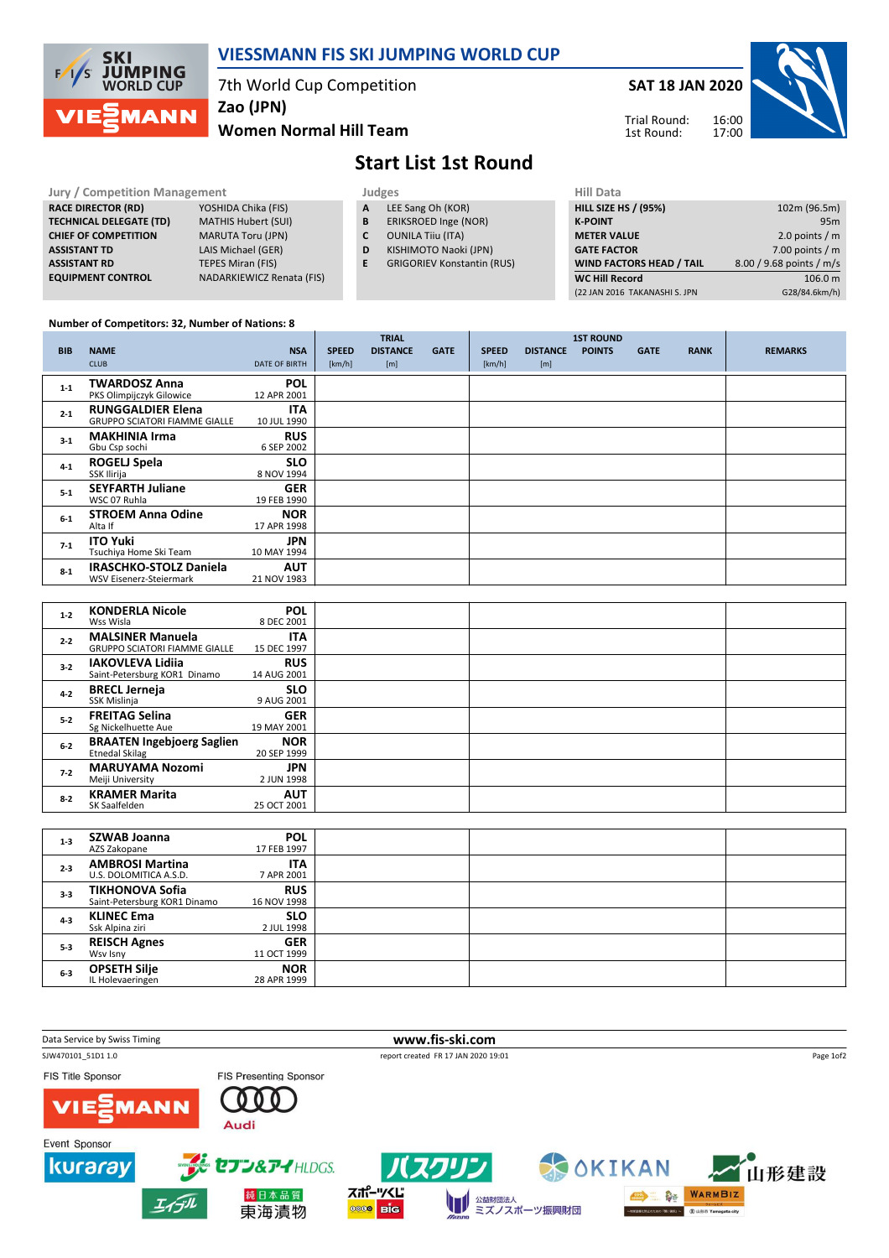

## VIESSMANN FIS SKI JUMPING WORLD CUP

7th World Cup Competition

Zao (JPN)

Women Normal Hill Team



# Start List 1st Round

#### Jury / Competition Management<br> **RACE DIRECTOR (RD)** YOSHIDA Chika (FIS) **A** LEE Sang Oh (KOR) **HILL SIZE** RACE DIRECTOR (RD) **TECHNICAL DELEGATE (TD)** MATHIS Hubert (SUI)<br> **CHIEF OF COMPETITION** MARUTA Toru (JPN) CHIEF OF COMPETITION ASSISTANT TD LAIS Michael (GER) **ASSISTANT RD** TEPES Miran (FIS)<br> **EQUIPMENT CONTROL** NADARKIEWICZ Re NADARKIEWICZ Renata (FIS)

- A LEE Sang Oh (KOR)
- **B** ERIKSROED Inge (NOR)<br>**C** OUNILA Tiiu (ITA)
- **OUNILA Tiiu (ITA)**
- D KISHIMOTO Naoki (JPN)
- E GRIGORIEV Konstantin (RUS)

| HIII Data                       |                          |
|---------------------------------|--------------------------|
| <b>HILL SIZE HS / (95%)</b>     | 102m (96.5m)             |
| <b>K-POINT</b>                  | 95m                      |
| <b>METER VALUE</b>              | 2.0 points $/m$          |
| <b>GATE FACTOR</b>              | 7.00 points $/m$         |
| <b>WIND FACTORS HEAD / TAIL</b> | 8.00 / 9.68 points / m/s |
| <b>WC Hill Record</b>           | 106.0 m                  |
| (22 JAN 2016 TAKANASHI S. JPN   | G28/84.6km/h)            |
|                                 |                          |

### Number of Competitors: 32, Number of Nations: 8

|            |                                         |                           |              | <b>TRIAL</b>    |             |              |                 | <b>1ST ROUND</b> |             |             |                |
|------------|-----------------------------------------|---------------------------|--------------|-----------------|-------------|--------------|-----------------|------------------|-------------|-------------|----------------|
| <b>BIB</b> | <b>NAME</b>                             | <b>NSA</b>                | <b>SPEED</b> | <b>DISTANCE</b> | <b>GATE</b> | <b>SPEED</b> | <b>DISTANCE</b> | <b>POINTS</b>    | <b>GATE</b> | <b>RANK</b> | <b>REMARKS</b> |
|            | <b>CLUB</b>                             | <b>DATE OF BIRTH</b>      | [km/h]       | [m]             |             | [km/h]       | [m]             |                  |             |             |                |
| $1 - 1$    | <b>TWARDOSZ Anna</b>                    | <b>POL</b>                |              |                 |             |              |                 |                  |             |             |                |
|            | PKS Olimpijczyk Gilowice                | 12 APR 2001               |              |                 |             |              |                 |                  |             |             |                |
| $2 - 1$    | <b>RUNGGALDIER Elena</b>                | <b>ITA</b>                |              |                 |             |              |                 |                  |             |             |                |
|            | <b>GRUPPO SCIATORI FIAMME GIALLE</b>    | 10 JUL 1990               |              |                 |             |              |                 |                  |             |             |                |
| $3-1$      | <b>MAKHINIA Irma</b>                    | <b>RUS</b>                |              |                 |             |              |                 |                  |             |             |                |
|            | Gbu Csp sochi                           | 6 SEP 2002                |              |                 |             |              |                 |                  |             |             |                |
| $4 - 1$    | <b>ROGELJ Spela</b><br>SSK Ilirija      | <b>SLO</b><br>8 NOV 1994  |              |                 |             |              |                 |                  |             |             |                |
|            |                                         |                           |              |                 |             |              |                 |                  |             |             |                |
| $5 - 1$    | <b>SEYFARTH Juliane</b><br>WSC 07 Ruhla | <b>GER</b><br>19 FEB 1990 |              |                 |             |              |                 |                  |             |             |                |
|            | <b>STROEM Anna Odine</b>                | <b>NOR</b>                |              |                 |             |              |                 |                  |             |             |                |
| $6-1$      | Alta If                                 | 17 APR 1998               |              |                 |             |              |                 |                  |             |             |                |
| $7-1$      | <b>ITO Yuki</b>                         | <b>JPN</b>                |              |                 |             |              |                 |                  |             |             |                |
|            | Tsuchiya Home Ski Team                  | 10 MAY 1994               |              |                 |             |              |                 |                  |             |             |                |
| $8-1$      | <b>IRASCHKO-STOLZ Daniela</b>           | <b>AUT</b>                |              |                 |             |              |                 |                  |             |             |                |
|            | <b>WSV Eisenerz-Steiermark</b>          | 21 NOV 1983               |              |                 |             |              |                 |                  |             |             |                |
|            |                                         |                           |              |                 |             |              |                 |                  |             |             |                |
| $1 - 2$    | <b>KONDERLA Nicole</b>                  | <b>POL</b>                |              |                 |             |              |                 |                  |             |             |                |
|            | Wss Wisla                               | 8 DEC 2001                |              |                 |             |              |                 |                  |             |             |                |
| $2 - 2$    | <b>MALSINER Manuela</b>                 | <b>ITA</b>                |              |                 |             |              |                 |                  |             |             |                |
|            | <b>GRUPPO SCIATORI FIAMME GIALLE</b>    | 15 DEC 1997               |              |                 |             |              |                 |                  |             |             |                |
| $3 - 2$    | <b>IAKOVLEVA Lidiia</b>                 | <b>RUS</b>                |              |                 |             |              |                 |                  |             |             |                |
|            | Saint-Petersburg KOR1 Dinamo            | 14 AUG 2001               |              |                 |             |              |                 |                  |             |             |                |
| $4 - 2$    | <b>BRECL Jerneja</b>                    | <b>SLO</b><br>9 AUG 2001  |              |                 |             |              |                 |                  |             |             |                |
|            | SSK Mislinja                            |                           |              |                 |             |              |                 |                  |             |             |                |
|            | <b>EREITAG Selina</b>                   | <b>GER</b>                |              |                 |             |              |                 |                  |             |             |                |

|         |                                                            | ---------                 |  |  |
|---------|------------------------------------------------------------|---------------------------|--|--|
| $5 - 2$ | <b>FREITAG Selina</b><br>Sg Nickelhuette Aue               | <b>GER</b><br>19 MAY 2001 |  |  |
| $6 - 2$ | <b>BRAATEN Ingebjoerg Saglien</b><br><b>Etnedal Skilag</b> | <b>NOR</b><br>20 SEP 1999 |  |  |
| $7 - 2$ | <b>MARUYAMA Nozomi</b><br>Meiji University                 | <b>JPN</b><br>2 JUN 1998  |  |  |
| $8-2$   | <b>KRAMER Marita</b><br>SK Saalfelden                      | <b>AUT</b><br>25 OCT 2001 |  |  |
|         |                                                            |                           |  |  |
|         | --------                                                   | - - -                     |  |  |

| $1 - 3$ | <b>SZWAB Joanna</b><br>AZS Zakopane                    | <b>POL</b><br>17 FEB 1997 |  |  |
|---------|--------------------------------------------------------|---------------------------|--|--|
| $2 - 3$ | <b>AMBROSI Martina</b><br>U.S. DOLOMITICA A.S.D.       | <b>ITA</b><br>7 APR 2001  |  |  |
| $3 - 3$ | <b>TIKHONOVA Sofia</b><br>Saint-Petersburg KOR1 Dinamo | <b>RUS</b><br>16 NOV 1998 |  |  |
| $4 - 3$ | <b>KLINEC Ema</b><br>Ssk Alpina ziri                   | <b>SLO</b><br>2 JUL 1998  |  |  |
| $5 - 3$ | <b>REISCH Agnes</b><br>Wsv Isny                        | <b>GER</b><br>11 OCT 1999 |  |  |
| $6 - 3$ | <b>OPSETH Silje</b><br>IL Holevaeringen                | <b>NOR</b><br>28 APR 1999 |  |  |